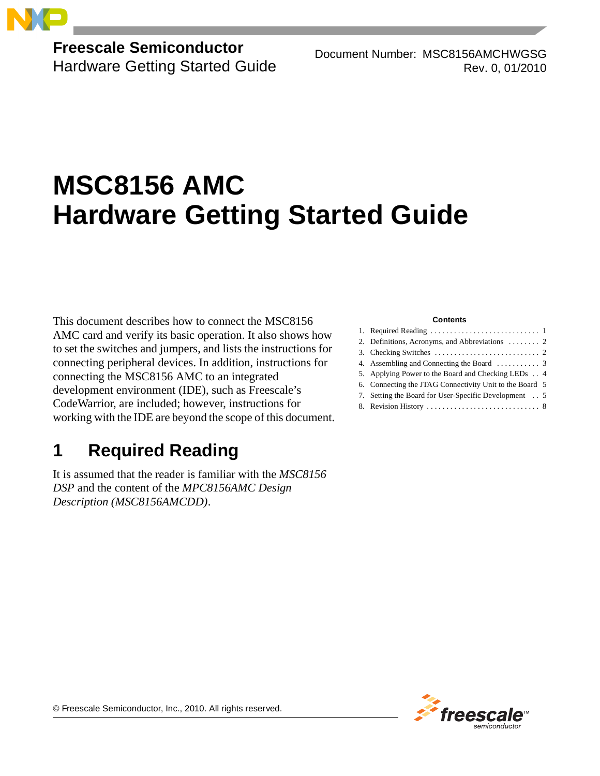

# **Freescale Semiconductor**

Hardware Getting Started Guide

Document Number: MSC8156AMCHWGSG Rev. 0, 01/2010

# **MSC8156 AMC Hardware Getting Started Guide**

This document describes how to connect the MSC8156 AMC card and verify its basic operation. It also shows how to set the switches and jumpers, and lists the instructions for connecting peripheral devices. In addition, instructions for connecting the MSC8156 AMC to an integrated development environment (IDE), such as Freescale's CodeWarrior, are included; however, instructions for working with the IDE are beyond the scope of this document.

# <span id="page-0-0"></span>**1 Required Reading**

It is assumed that the reader is familiar with the *MSC8156 DSP* and the content of the *MPC8156AMC Design Description (MSC8156AMCDD)*.

### **Contents**

| 2. Definitions, Acronyms, and Abbreviations  2          |
|---------------------------------------------------------|
|                                                         |
|                                                         |
| 5. Applying Power to the Board and Checking LEDs 4      |
| 6. Connecting the JTAG Connectivity Unit to the Board 5 |
| 7. Setting the Board for User-Specific Development 5    |
|                                                         |
|                                                         |



© Freescale Semiconductor, Inc., 2010. All rights reserved.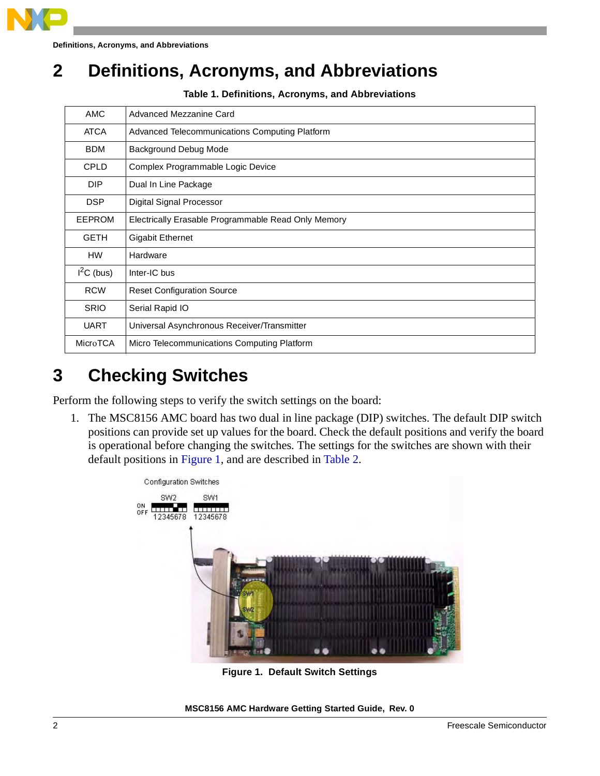

**Definitions, Acronyms, and Abbreviations**

# <span id="page-1-0"></span>**2 Definitions, Acronyms, and Abbreviations**

**Table 1. Definitions, Acronyms, and Abbreviations**

| <b>AMC</b>    | Advanced Mezzanine Card                             |
|---------------|-----------------------------------------------------|
| <b>ATCA</b>   | Advanced Telecommunications Computing Platform      |
| <b>BDM</b>    | Background Debug Mode                               |
| <b>CPLD</b>   | Complex Programmable Logic Device                   |
| DIP           | Dual In Line Package                                |
| DSP           | Digital Signal Processor                            |
| <b>EEPROM</b> | Electrically Erasable Programmable Read Only Memory |
| <b>GETH</b>   | <b>Gigabit Ethernet</b>                             |
| HW            | Hardware                                            |
| $I2C$ (bus)   | Inter-IC bus                                        |
| <b>RCW</b>    | <b>Reset Configuration Source</b>                   |
| <b>SRIO</b>   | Serial Rapid IO                                     |
| <b>UART</b>   | Universal Asynchronous Receiver/Transmitter         |
| MicroTCA      | Micro Telecommunications Computing Platform         |

# <span id="page-1-1"></span>**3 Checking Switches**

Perform the following steps to verify the switch settings on the board:

1. The MSC8156 AMC board has two dual in line package (DIP) switches. The default DIP switch positions can provide set up values for the board. Check the default positions and verify the board is operational before changing the switches. The settings for the switches are shown with their default positions in [Figure 1](#page-1-2), and are described in [Table 2.](#page-2-1)



**Figure 1. Default Switch Settings**

<span id="page-1-2"></span>**MSC8156 AMC Hardware Getting Started Guide, Rev. 0**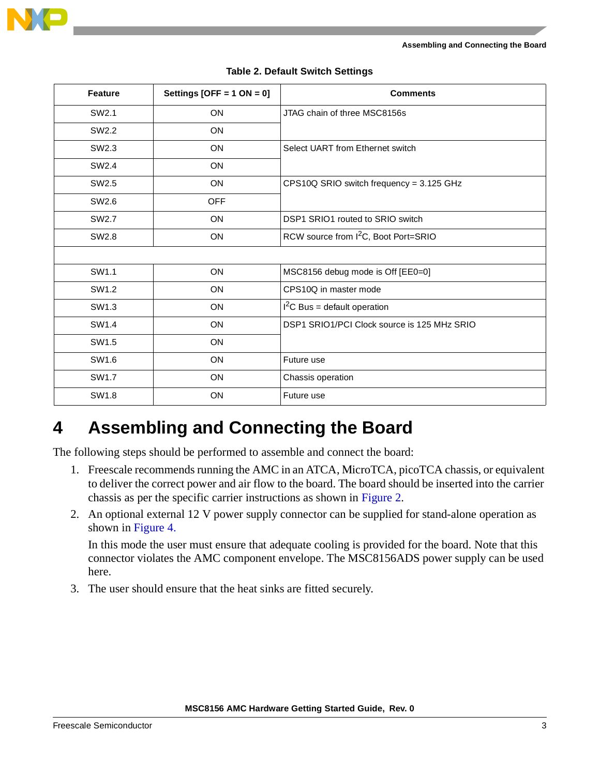

<span id="page-2-1"></span>

| <b>Feature</b>    | Settings $[OFF = 1 ON = 0]$ | <b>Comments</b>                                  |
|-------------------|-----------------------------|--------------------------------------------------|
| SW <sub>2.1</sub> | ON                          | JTAG chain of three MSC8156s                     |
| SW <sub>2.2</sub> | <b>ON</b>                   |                                                  |
| SW <sub>2.3</sub> | <b>ON</b>                   | Select UART from Ethernet switch                 |
| SW2.4             | ON                          |                                                  |
| SW <sub>2.5</sub> | <b>ON</b>                   | CPS10Q SRIO switch frequency = 3.125 GHz         |
| SW <sub>2.6</sub> | <b>OFF</b>                  |                                                  |
| SW <sub>2.7</sub> | <b>ON</b>                   | DSP1 SRIO1 routed to SRIO switch                 |
| SW2.8             | ON                          | RCW source from 1 <sup>2</sup> C, Boot Port=SRIO |
|                   |                             |                                                  |
| SW1.1             | ON                          | MSC8156 debug mode is Off [EE0=0]                |
| SW1.2             | <b>ON</b>                   | CPS10Q in master mode                            |
| SW1.3             | ON                          | $I2C$ Bus = default operation                    |
| SW1.4             | ON                          | DSP1 SRIO1/PCI Clock source is 125 MHz SRIO      |
| SW1.5             | <b>ON</b>                   |                                                  |
| SW1.6             | ON                          | Future use                                       |
| SW <sub>1.7</sub> | <b>ON</b>                   | Chassis operation                                |
| SW1.8             | ON                          | Future use                                       |

**Table 2. Default Switch Settings**

## <span id="page-2-0"></span>**4 Assembling and Connecting the Board**

The following steps should be performed to assemble and connect the board:

- 1. Freescale recommends running the AMC in an ATCA, ΜicroTCA, picoTCA chassis, or equivalent to deliver the correct power and air flow to the board. The board should be inserted into the carrier chassis as per the specific carrier instructions as shown in [Figure 2](#page-3-1).
- 2. An optional external 12 V power supply connector can be supplied for stand-alone operation as shown in [Figure 4.](#page-6-0)

In this mode the user must ensure that adequate cooling is provided for the board. Note that this connector violates the AMC component envelope. The MSC8156ADS power supply can be used here.

3. The user should ensure that the heat sinks are fitted securely.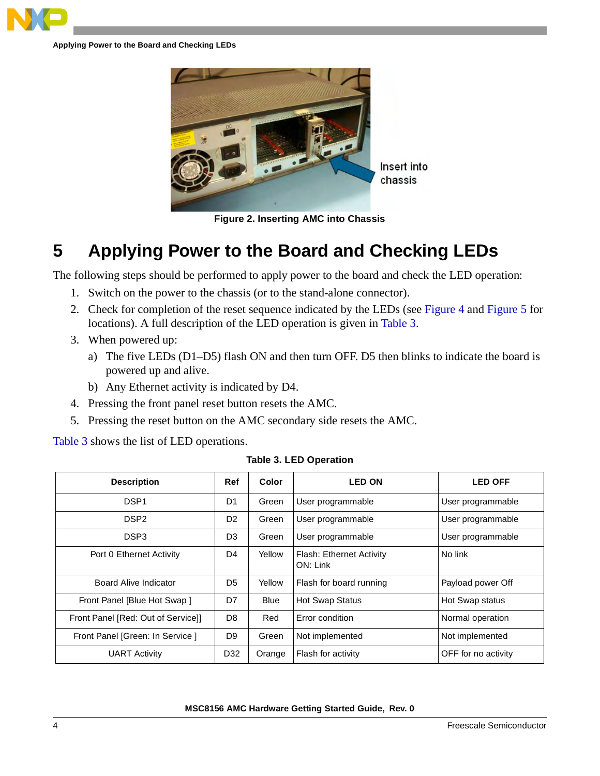

**Applying Power to the Board and Checking LEDs**



**Figure 2. Inserting AMC into Chassis**

## <span id="page-3-1"></span><span id="page-3-0"></span>**5 Applying Power to the Board and Checking LEDs**

The following steps should be performed to apply power to the board and check the LED operation:

- 1. Switch on the power to the chassis (or to the stand-alone connector).
- 2. Check for completion of the reset sequence indicated by the LEDs (see [Figure 4](#page-6-0) and [Figure 5](#page-6-1) for locations). A full description of the LED operation is given in [Table 3.](#page-3-2)
- 3. When powered up:
	- a) The five LEDs (D1–D5) flash ON and then turn OFF. D5 then blinks to indicate the board is powered up and alive.
	- b) Any Ethernet activity is indicated by D4.
- 4. Pressing the front panel reset button resets the AMC.
- 5. Pressing the reset button on the AMC secondary side resets the AMC.

<span id="page-3-2"></span>[Table 3](#page-3-2) shows the list of LED operations.

| <b>Description</b>                 | Ref             | Color       | <b>LED ON</b>                               | <b>LED OFF</b>      |
|------------------------------------|-----------------|-------------|---------------------------------------------|---------------------|
| DSP <sub>1</sub>                   | D <sub>1</sub>  | Green       | User programmable                           | User programmable   |
| DSP <sub>2</sub>                   | D <sub>2</sub>  | Green       | User programmable                           | User programmable   |
| DSP <sub>3</sub>                   | D <sub>3</sub>  | Green       | User programmable                           | User programmable   |
| Port 0 Ethernet Activity           | D <sub>4</sub>  | Yellow      | <b>Flash: Ethernet Activity</b><br>ON: Link | No link             |
| <b>Board Alive Indicator</b>       | D <sub>5</sub>  | Yellow      | Flash for board running                     | Payload power Off   |
| Front Panel [Blue Hot Swap]        | D7              | <b>Blue</b> | <b>Hot Swap Status</b>                      | Hot Swap status     |
| Front Panel [Red: Out of Service]] | D <sub>8</sub>  | Red         | Error condition                             | Normal operation    |
| Front Panel [Green: In Service]    | D <sub>9</sub>  | Green       | Not implemented                             | Not implemented     |
| <b>UART Activity</b>               | D <sub>32</sub> | Orange      | Flash for activity                          | OFF for no activity |

**Table 3. LED Operation**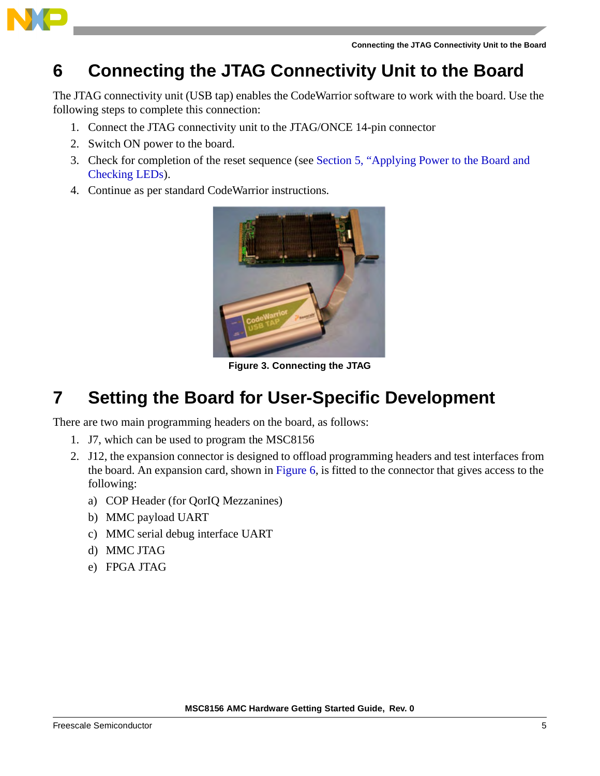

# <span id="page-4-1"></span>**6 Connecting the JTAG Connectivity Unit to the Board**

The JTAG connectivity unit (USB tap) enables the CodeWarrior software to work with the board. Use the following steps to complete this connection:

- 1. Connect the JTAG connectivity unit to the JTAG/ONCE 14-pin connector
- 2. Switch ON power to the board.
- 3. Check for completion of the reset sequence (see [Section 5, "Applying Power to the Board and](#page-3-0)  [Checking LEDs](#page-3-0)).
- 4. Continue as per standard CodeWarrior instructions.



**Figure 3. Connecting the JTAG**

### <span id="page-4-0"></span>**7 Setting the Board for User-Specific Development**

There are two main programming headers on the board, as follows:

- 1. J7, which can be used to program the MSC8156
- 2. J12, the expansion connector is designed to offload programming headers and test interfaces from the board. An expansion card, shown in [Figure 6](#page-7-1), is fitted to the connector that gives access to the following:
	- a) COP Header (for QorIQ Mezzanines)
	- b) MMC payload UART
	- c) MMC serial debug interface UART
	- d) MMC JTAG
	- e) FPGA JTAG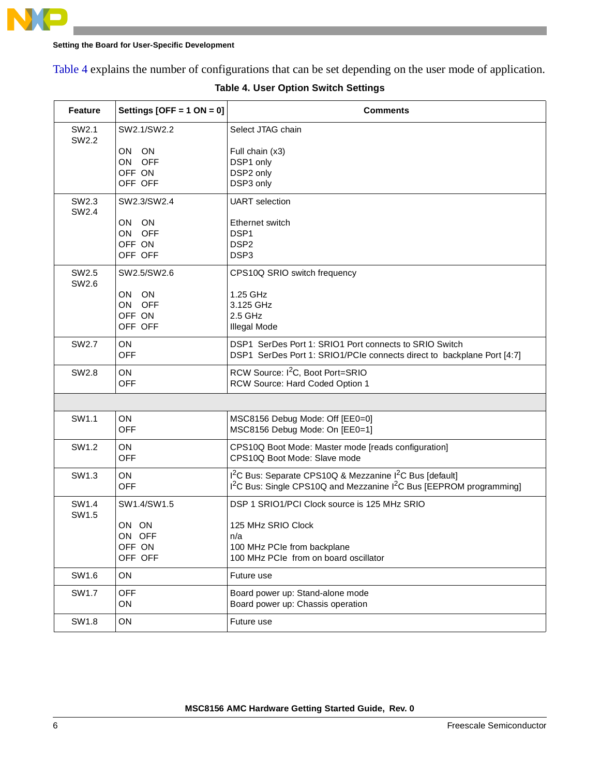

### **Setting the Board for User-Specific Development**

<span id="page-5-0"></span>[Table 4](#page-5-0) explains the number of configurations that can be set depending on the user mode of application.

| <b>Feature</b>    | Settings $[OFF = 1 ON = 0]$ | <b>Comments</b>                                                                             |
|-------------------|-----------------------------|---------------------------------------------------------------------------------------------|
| SW2.1<br>SW2.2    | SW2.1/SW2.2                 | Select JTAG chain                                                                           |
|                   | ON ON                       | Full chain (x3)                                                                             |
|                   | ON OFF<br>OFF ON            | DSP1 only<br>DSP2 only                                                                      |
|                   | OFF OFF                     | DSP3 only                                                                                   |
| SW2.3<br>SW2.4    | SW2.3/SW2.4                 | <b>UART</b> selection                                                                       |
|                   | ON ON                       | <b>Ethernet switch</b>                                                                      |
|                   | ON OFF                      | DSP <sub>1</sub>                                                                            |
|                   | OFF ON<br>OFF OFF           | DSP <sub>2</sub><br>DSP3                                                                    |
| SW <sub>2.5</sub> | SW2.5/SW2.6                 | CPS10Q SRIO switch frequency                                                                |
| SW2.6             |                             |                                                                                             |
|                   | ON ON<br>ON OFF             | 1.25 GHz<br>3.125 GHz                                                                       |
|                   | OFF ON                      | 2.5 GHz                                                                                     |
|                   | OFF OFF                     | <b>Illegal Mode</b>                                                                         |
| SW <sub>2.7</sub> | ON                          | DSP1 SerDes Port 1: SRIO1 Port connects to SRIO Switch                                      |
|                   | <b>OFF</b>                  | DSP1 SerDes Port 1: SRIO1/PCIe connects direct to backplane Port [4:7]                      |
| SW2.8             | <b>ON</b><br><b>OFF</b>     | RCW Source: I <sup>2</sup> C, Boot Port=SRIO<br>RCW Source: Hard Coded Option 1             |
|                   |                             |                                                                                             |
|                   |                             |                                                                                             |
| SW1.1             | ON<br><b>OFF</b>            | MSC8156 Debug Mode: Off [EE0=0]<br>MSC8156 Debug Mode: On [EE0=1]                           |
| SW1.2             | ON                          | CPS10Q Boot Mode: Master mode [reads configuration]                                         |
|                   | <b>OFF</b>                  | CPS10Q Boot Mode: Slave mode                                                                |
| SW1.3             | <b>ON</b>                   | I <sup>2</sup> C Bus: Separate CPS10Q & Mezzanine I <sup>2</sup> C Bus [default]            |
|                   | <b>OFF</b>                  | I <sup>2</sup> C Bus: Single CPS10Q and Mezzanine I <sup>2</sup> C Bus [EEPROM programming] |
| SW1.4<br>SW1.5    | SW1.4/SW1.5                 | DSP 1 SRIO1/PCI Clock source is 125 MHz SRIO                                                |
|                   | ON ON                       | 125 MHz SRIO Clock                                                                          |
|                   | ON OFF<br>OFF ON            | n/a<br>100 MHz PCIe from backplane                                                          |
|                   | OFF OFF                     | 100 MHz PCIe from on board oscillator                                                       |
| SW1.6             | ON                          | Future use                                                                                  |
| SW1.7             | <b>OFF</b>                  | Board power up: Stand-alone mode                                                            |
|                   | ON                          | Board power up: Chassis operation                                                           |
| SW1.8             | ON                          | Future use                                                                                  |

### **Table 4. User Option Switch Settings**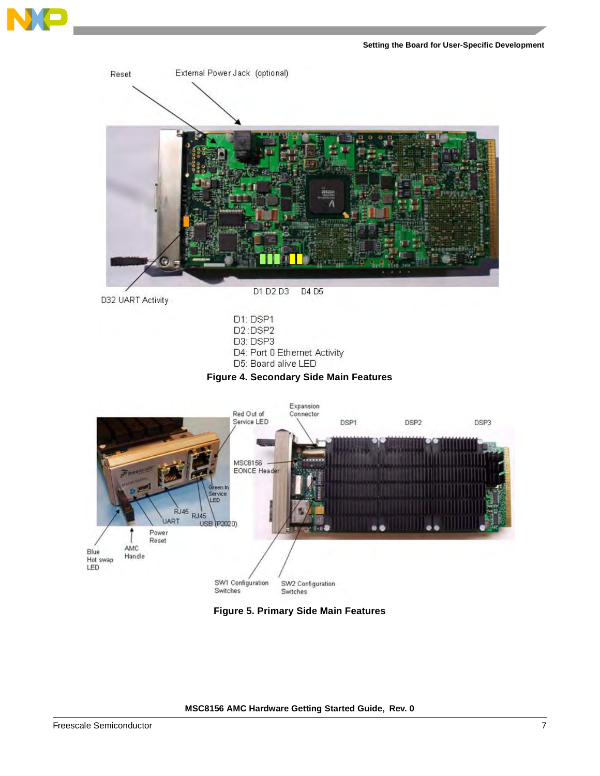

**Setting the Board for User-Specific Development** 



D32 UART Activity

D1 D2 D3 D4 D5

D1: DSP1 D2:DSP2 D3: DSP3 D4: Port 0 Ethernet Activity D5: Board alive LED

### **Figure 4. Secondary Side Main Features**

<span id="page-6-0"></span>

<span id="page-6-1"></span>**Figure 5. Primary Side Main Features**

### **MSC8156 AMC Hardware Getting Started Guide, Rev. 0**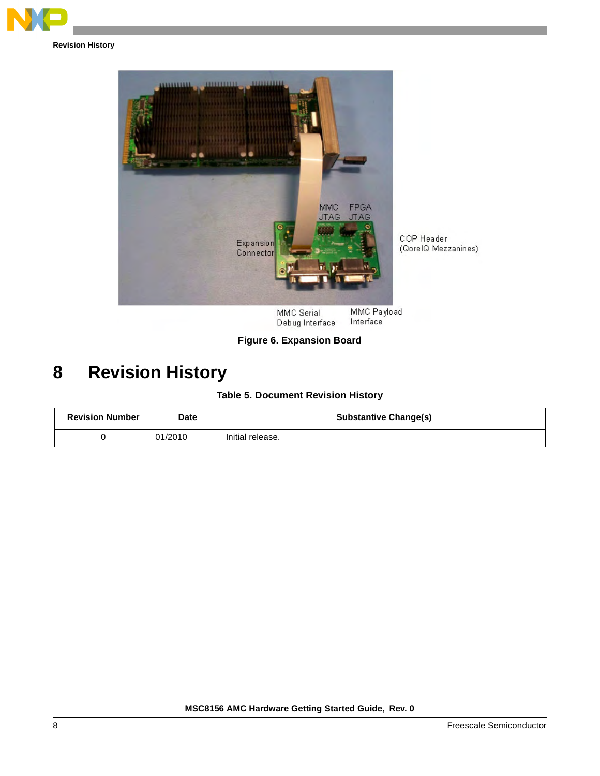

**Revision History**



Interface Debug Interface

**Figure 6. Expansion Board**

# <span id="page-7-1"></span><span id="page-7-0"></span>**8 Revision History**

### **Table 5. Document Revision History**

| <b>Revision Number</b> | Date    | <b>Substantive Change(s)</b> |
|------------------------|---------|------------------------------|
|                        | 01/2010 | Initial release.             |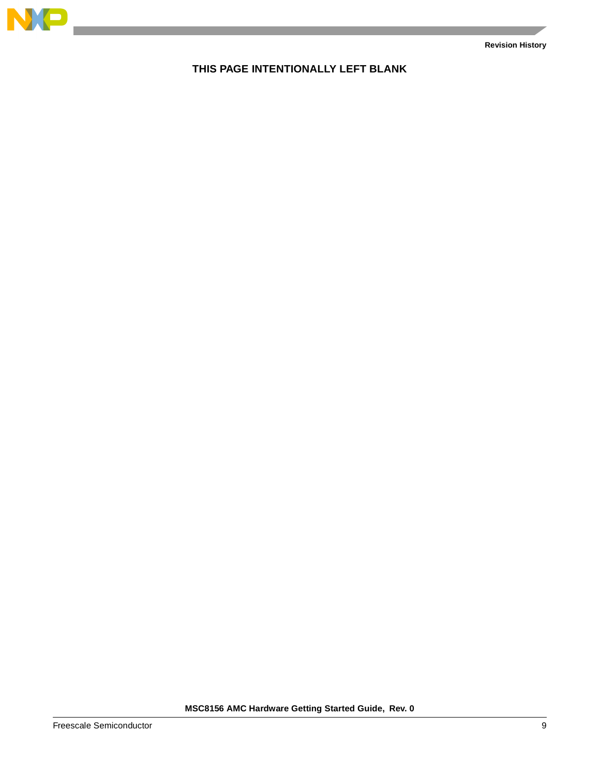

 $\overline{\phantom{a}}$ 

### **THIS PAGE INTENTIONALLY LEFT BLANK**